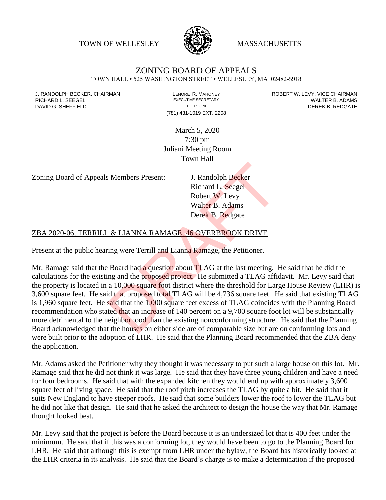TOWN OF WELLESLEY **WASSACHUSETTS** 



# ZONING BOARD OF APPEALS

TOWN HALL • 525 WASHINGTON STREET • WELLESLEY, MA 02482-5918

(781) 431-1019 EXT. 2208

J. RANDOLPH BECKER, CHAIRMAN LAND LENORE R. MAHONEY LENORE RESOLUTIVE SECRETARY LEVY, VICE CHAIRMAN LAND RISPO<br>RICHARD L. SFFGFI LADAMS RICHARD L. SEEGEL **EXECUTIVE SECRETARY CONTROLL SEEGETARY** WALTER B. ADAMS DAVID G. SHEFFIELD **TELEPHONE** TELEPHONE TELEPHONE **TELEPHONE DEREK B. REDGATE** 

> March 5, 2020 7:30 pm Juliani Meeting Room Town Hall

Zoning Board of Appeals Members Present: J. Randolph Becker

Richard L. Seegel Robert W. Levy Walter B. Adams Derek B. Redgate

#### ZBA 2020-06, TERRILL & LIANNA RAMAGE, 46 OVERBROOK DRIVE

Present at the public hearing were Terrill and Lianna Ramage, the Petitioner.

Mr. Ramage said that the Board had a question about TLAG at the last meeting. He said that he did the calculations for the existing and the proposed project. He submitted a TLAG affidavit. Mr. Levy said that the property is located in a 10,000 square foot district where the threshold for Large House Review (LHR) is 3,600 square feet. He said that proposed total TLAG will be 4,736 square feet. He said that existing TLAG is 1,960 square feet. He said that the 1,000 square feet excess of TLAG coincides with the Planning Board recommendation who stated that an increase of 140 percent on a 9,700 square foot lot will be substantially more detrimental to the neighborhood than the existing nonconforming structure. He said that the Planning Board acknowledged that the houses on either side are of comparable size but are on conforming lots and were built prior to the adoption of LHR. He said that the Planning Board recommended that the ZBA deny the application. S. Members Present:<br>
J. Randolph Becker<br>
Richard L. Seegel<br>
Robert W. Levy<br>
Walter B. Adams<br>
Derek B. Redgate<br>
L. & LIANNA RAMAGE, 46 OVERBROOK DRIVE<br>
ing were Terrill and Lianna Ramage, the Petitioner.<br>
Board had a questi

Mr. Adams asked the Petitioner why they thought it was necessary to put such a large house on this lot. Mr. Ramage said that he did not think it was large. He said that they have three young children and have a need for four bedrooms. He said that with the expanded kitchen they would end up with approximately 3,600 square feet of living space. He said that the roof pitch increases the TLAG by quite a bit. He said that it suits New England to have steeper roofs. He said that some builders lower the roof to lower the TLAG but he did not like that design. He said that he asked the architect to design the house the way that Mr. Ramage thought looked best.

Mr. Levy said that the project is before the Board because it is an undersized lot that is 400 feet under the minimum. He said that if this was a conforming lot, they would have been to go to the Planning Board for LHR. He said that although this is exempt from LHR under the bylaw, the Board has historically looked at the LHR criteria in its analysis. He said that the Board's charge is to make a determination if the proposed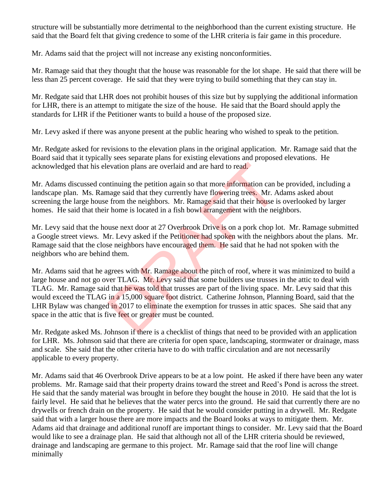structure will be substantially more detrimental to the neighborhood than the current existing structure. He said that the Board felt that giving credence to some of the LHR criteria is fair game in this procedure.

Mr. Adams said that the project will not increase any existing nonconformities.

Mr. Ramage said that they thought that the house was reasonable for the lot shape. He said that there will be less than 25 percent coverage. He said that they were trying to build something that they can stay in.

Mr. Redgate said that LHR does not prohibit houses of this size but by supplying the additional information for LHR, there is an attempt to mitigate the size of the house. He said that the Board should apply the standards for LHR if the Petitioner wants to build a house of the proposed size.

Mr. Levy asked if there was anyone present at the public hearing who wished to speak to the petition.

Mr. Redgate asked for revisions to the elevation plans in the original application. Mr. Ramage said that the Board said that it typically sees separate plans for existing elevations and proposed elevations. He acknowledged that his elevation plans are overlaid and are hard to read.

Mr. Adams discussed continuing the petition again so that more information can be provided, including a landscape plan. Ms. Ramage said that they currently have flowering trees. Mr. Adams asked about screening the large house from the neighbors. Mr. Ramage said that their house is overlooked by larger homes. He said that their home is located in a fish bowl arrangement with the neighbors.

Mr. Levy said that the house next door at 27 Overbrook Drive is on a pork chop lot. Mr. Ramage submitted a Google street views. Mr. Levy asked if the Petitioner had spoken with the neighbors about the plans. Mr. Ramage said that the close neighbors have encouraged them. He said that he had not spoken with the neighbors who are behind them.

Mr. Adams said that he agrees with Mr. Ramage about the pitch of roof, where it was minimized to build a large house and not go over TLAG. Mr. Levy said that some builders use trusses in the attic to deal with TLAG. Mr. Ramage said that he was told that trusses are part of the living space. Mr. Levy said that this would exceed the TLAG in a 15,000 square foot district. Catherine Johnson, Planning Board, said that the LHR Bylaw was changed in 2017 to eliminate the exemption for trusses in attic spaces. She said that any space in the attic that is five feet or greater must be counted. evation plans are overlaid and are hard to read.<br>
Intinuing the petition again so that more information can b<br>
nage said that they currently have flowering trees. Mr. A<br>
from the neighbors. Mr. Ramage said that their house

Mr. Redgate asked Ms. Johnson if there is a checklist of things that need to be provided with an application for LHR. Ms. Johnson said that there are criteria for open space, landscaping, stormwater or drainage, mass and scale. She said that the other criteria have to do with traffic circulation and are not necessarily applicable to every property.

Mr. Adams said that 46 Overbrook Drive appears to be at a low point. He asked if there have been any water problems. Mr. Ramage said that their property drains toward the street and Reed's Pond is across the street. He said that the sandy material was brought in before they bought the house in 2010. He said that the lot is fairly level. He said that he believes that the water percs into the ground. He said that currently there are no drywells or french drain on the property. He said that he would consider putting in a drywell. Mr. Redgate said that with a larger house there are more impacts and the Board looks at ways to mitigate them. Mr. Adams aid that drainage and additional runoff are important things to consider. Mr. Levy said that the Board would like to see a drainage plan. He said that although not all of the LHR criteria should be reviewed, drainage and landscaping are germane to this project. Mr. Ramage said that the roof line will change minimally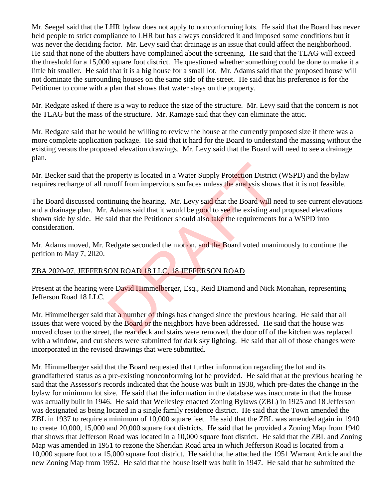Mr. Seegel said that the LHR bylaw does not apply to nonconforming lots. He said that the Board has never held people to strict compliance to LHR but has always considered it and imposed some conditions but it was never the deciding factor. Mr. Levy said that drainage is an issue that could affect the neighborhood. He said that none of the abutters have complained about the screening. He said that the TLAG will exceed the threshold for a 15,000 square foot district. He questioned whether something could be done to make it a little bit smaller. He said that it is a big house for a small lot. Mr. Adams said that the proposed house will not dominate the surrounding houses on the same side of the street. He said that his preference is for the Petitioner to come with a plan that shows that water stays on the property.

Mr. Redgate asked if there is a way to reduce the size of the structure. Mr. Levy said that the concern is not the TLAG but the mass of the structure. Mr. Ramage said that they can eliminate the attic.

Mr. Redgate said that he would be willing to review the house at the currently proposed size if there was a more complete application package. He said that it hard for the Board to understand the massing without the existing versus the proposed elevation drawings. Mr. Levy said that the Board will need to see a drainage plan.

Mr. Becker said that the property is located in a Water Supply Protection District (WSPD) and the bylaw requires recharge of all runoff from impervious surfaces unless the analysis shows that it is not feasible.

The Board discussed continuing the hearing. Mr. Levy said that the Board will need to see current elevations and a drainage plan. Mr. Adams said that it would be good to see the existing and proposed elevations shown side by side. He said that the Petitioner should also take the requirements for a WSPD into consideration. property is located in a Water Supply Protection District<br>unoff from impervious surfaces unless the analysis shows<br>tinuing the hearing. Mr. Levy said that the Board will ne<br>Adams said that it would be good to see the exist

Mr. Adams moved, Mr. Redgate seconded the motion, and the Board voted unanimously to continue the petition to May 7, 2020.

## ZBA 2020-07, JEFFERSON ROAD 18 LLC, 18 JEFFERSON ROAD

Present at the hearing were David Himmelberger, Esq., Reid Diamond and Nick Monahan, representing Jefferson Road 18 LLC.

Mr. Himmelberger said that a number of things has changed since the previous hearing. He said that all issues that were voiced by the Board or the neighbors have been addressed. He said that the house was moved closer to the street, the rear deck and stairs were removed, the door off of the kitchen was replaced with a window, and cut sheets were submitted for dark sky lighting. He said that all of those changes were incorporated in the revised drawings that were submitted.

Mr. Himmelberger said that the Board requested that further information regarding the lot and its grandfathered status as a pre-existing nonconforming lot be provided. He said that at the previous hearing he said that the Assessor's records indicated that the house was built in 1938, which pre-dates the change in the bylaw for minimum lot size. He said that the information in the database was inaccurate in that the house was actually built in 1946. He said that Wellesley enacted Zoning Bylaws (ZBL) in 1925 and 18 Jefferson was designated as being located in a single family residence district. He said that the Town amended the ZBL in 1937 to require a minimum of 10,000 square feet. He said that the ZBL was amended again in 1940 to create 10,000, 15,000 and 20,000 square foot districts. He said that he provided a Zoning Map from 1940 that shows that Jefferson Road was located in a 10,000 square foot district. He said that the ZBL and Zoning Map was amended in 1951 to rezone the Sheridan Road area in which Jefferson Road is located from a 10,000 square foot to a 15,000 square foot district. He said that he attached the 1951 Warrant Article and the new Zoning Map from 1952. He said that the house itself was built in 1947. He said that he submitted the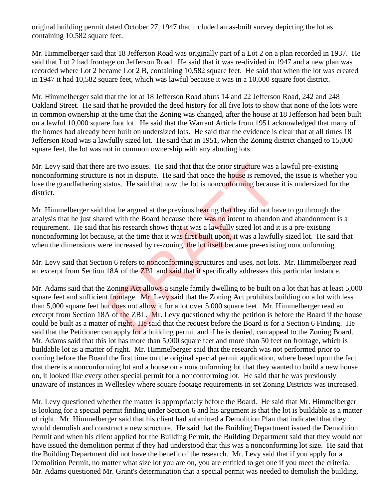original building permit dated October 27, 1947 that included an as-built survey depicting the lot as containing 10.582 square feet.

Mr. Himmelberger said that 18 Jefferson Road was originally part of a Lot 2 on a plan recorded in 1937. He said that Lot 2 had frontage on Jefferson Road. He said that it was re-divided in 1947 and a new plan was recorded where Lot 2 became Lot 2 B, containing 10,582 square feet. He said that when the lot was created in 1947 it had 10,582 square feet, which was lawful because it was in a 10,000 square foot district.

Mr. Himmelberger said that the lot at 18 Jefferson Road abuts 14 and 22 Jefferson Road, 242 and 248 Oakland Street. He said that he provided the deed history for all five lots to show that none of the lots were in common ownership at the time that the Zoning was changed, after the house at 18 Jefferson had been built on a lawful 10,000 square foot lot. He said that the Warrant Article from 1951 acknowledged that many of the homes had already been built on undersized lots. He said that the evidence is clear that at all times 18 Jefferson Road was a lawfully sized lot. He said that in 1951, when the Zoning district changed to 15,000 square feet, the lot was not in common ownership with any abutting lots.

Mr. Levy said that there are two issues. He said that that the prior structure was a lawful pre-existing nonconforming structure is not in dispute. He said that once the house is removed, the issue is whether you lose the grandfathering status. He said that now the lot is nonconforming because it is undersized for the district.

Mr. Himmelberger said that he argued at the previous hearing that they did not have to go through the analysis that he just shared with the Board because there was no intent to abandon and abandonment is a requirement. He said that his research shows that it was a lawfully sized lot and it is a pre-existing nonconforming lot because, at the time that it was first built upon, it was a lawfully sized lot. He said that when the dimensions were increased by re-zoning, the lot itself became pre-existing nonconforming.

Mr. Levy said that Section 6 refers to nonconforming structures and uses, not lots. Mr. Himmelberger read an excerpt from Section 18A of the ZBL and said that it specifically addresses this particular instance.

Mr. Adams said that the Zoning Act allows a single family dwelling to be built on a lot that has at least 5,000 square feet and sufficient frontage. Mr. Levy said that the Zoning Act prohibits building on a lot with less than 5,000 square feet but does not allow it for a lot over 5,000 square feet. Mr. Himmelberger read an excerpt from Section 18A of the ZBL. Mr. Levy questioned why the petition is before the Board if the house could be built as a matter of right. He said that the request before the Board is for a Section 6 Finding. He said that the Petitioner can apply for a building permit and if he is denied, can appeal to the Zoning Board. Mr. Adams said that this lot has more than 5,000 square feet and more than 50 feet on frontage, which is buildable lot as a matter of right. Mr. Himmelberger said that the research was not performed prior to coming before the Board the first time on the original special permit application, where based upon the fact that there is a nonconforming lot and a house on a nonconforming lot that they wanted to build a new house on, it looked like every other special permit for a nonconforming lot. He said that he was previously unaware of instances in Wellesley where square footage requirements in set Zoning Districts was increased. are two issues. He said that that the prior structure was a<br>is not in dispute. He said that once the house is removed<br>tatus. He said that now the lot is nonconforming because<br>tatus. He said that now the lot is nonconformin

Mr. Levy questioned whether the matter is appropriately before the Board. He said that Mr. Himmelberger is looking for a special permit finding under Section 6 and his argument is that the lot is buildable as a matter of right. Mr. Himmelberger said that his client had submitted a Demolition Plan that indicated that they would demolish and construct a new structure. He said that the Building Department issued the Demolition Permit and when his client applied for the Building Permit, the Building Department said that they would not have issued the demolition permit if they had understood that this was a nonconforming lot size. He said that the Building Department did not have the benefit of the research. Mr. Levy said that if you apply for a Demolition Permit, no matter what size lot you are on, you are entitled to get one if you meet the criteria. Mr. Adams questioned Mr. Grant's determination that a special permit was needed to demolish the building.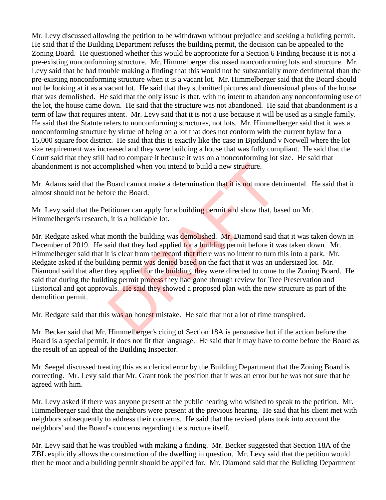Mr. Levy discussed allowing the petition to be withdrawn without prejudice and seeking a building permit. He said that if the Building Department refuses the building permit, the decision can be appealed to the Zoning Board. He questioned whether this would be appropriate for a Section 6 Finding because it is not a pre-existing nonconforming structure. Mr. Himmelberger discussed nonconforming lots and structure. Mr. Levy said that he had trouble making a finding that this would not be substantially more detrimental than the pre-existing nonconforming structure when it is a vacant lot. Mr. Himmelberger said that the Board should not be looking at it as a vacant lot. He said that they submitted pictures and dimensional plans of the house that was demolished. He said that the only issue is that, with no intent to abandon any nonconforming use of the lot, the house came down. He said that the structure was not abandoned. He said that abandonment is a term of law that requires intent. Mr. Levy said that it is not a use because it will be used as a single family. He said that the Statute refers to nonconforming structures, not lots. Mr. Himmelberger said that it was a nonconforming structure by virtue of being on a lot that does not conform with the current bylaw for a 15,000 square foot district. He said that this is exactly like the case in Bjorklund v Norwell where the lot size requirement was increased and they were building a house that was fully compliant. He said that the Court said that they still had to compare it because it was on a nonconforming lot size. He said that abandonment is not accomplished when you intend to build a new structure.

Mr. Adams said that the Board cannot make a determination that it is not more detrimental. He said that it almost should not be before the Board.

Mr. Levy said that the Petitioner can apply for a building permit and show that, based on Mr. Himmelberger's research, it is a buildable lot.

Mr. Redgate asked what month the building was demolished. Mr. Diamond said that it was taken down in December of 2019. He said that they had applied for a building permit before it was taken down. Mr. Himmelberger said that it is clear from the record that there was no intent to turn this into a park. Mr. Redgate asked if the building permit was denied based on the fact that it was an undersized lot. Mr. Diamond said that after they applied for the building, they were directed to come to the Zoning Board. He said that during the building permit process they had gone through review for Tree Preservation and Historical and got approvals. He said they showed a proposed plan with the new structure as part of the demolition permit. mplished when you intend to build a new structure.<br>Board cannot make a determination that it is not more de<br>ore the Board.<br>tititioner can apply for a building permit and show that, ba,<br>it is a buildable lot.<br>month the buil

Mr. Redgate said that this was an honest mistake. He said that not a lot of time transpired.

Mr. Becker said that Mr. Himmelberger's citing of Section 18A is persuasive but if the action before the Board is a special permit, it does not fit that language. He said that it may have to come before the Board as the result of an appeal of the Building Inspector.

Mr. Seegel discussed treating this as a clerical error by the Building Department that the Zoning Board is correcting. Mr. Levy said that Mr. Grant took the position that it was an error but he was not sure that he agreed with him.

Mr. Levy asked if there was anyone present at the public hearing who wished to speak to the petition. Mr. Himmelberger said that the neighbors were present at the previous hearing. He said that his client met with neighbors subsequently to address their concerns. He said that the revised plans took into account the neighbors' and the Board's concerns regarding the structure itself.

Mr. Levy said that he was troubled with making a finding. Mr. Becker suggested that Section 18A of the ZBL explicitly allows the construction of the dwelling in question. Mr. Levy said that the petition would then be moot and a building permit should be applied for. Mr. Diamond said that the Building Department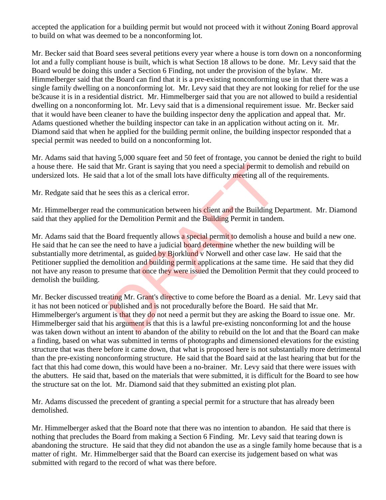accepted the application for a building permit but would not proceed with it without Zoning Board approval to build on what was deemed to be a nonconforming lot.

Mr. Becker said that Board sees several petitions every year where a house is torn down on a nonconforming lot and a fully compliant house is built, which is what Section 18 allows to be done. Mr. Levy said that the Board would be doing this under a Section 6 Finding, not under the provision of the bylaw. Mr. Himmelberger said that the Board can find that it is a pre-existing nonconforming use in that there was a single family dwelling on a nonconforming lot. Mr. Levy said that they are not looking for relief for the use be3cause it is in a residential district. Mr. Himmelberger said that you are not allowed to build a residential dwelling on a nonconforming lot. Mr. Levy said that is a dimensional requirement issue. Mr. Becker said that it would have been cleaner to have the building inspector deny the application and appeal that. Mr. Adams questioned whether the building inspector can take in an application without acting on it. Mr. Diamond said that when he applied for the building permit online, the building inspector responded that a special permit was needed to build on a nonconforming lot.

Mr. Adams said that having 5,000 square feet and 50 feet of frontage, you cannot be denied the right to build a house there. He said that Mr. Grant is saying that you need a special permit to demolish and rebuild on undersized lots. He said that a lot of the small lots have difficulty meeting all of the requirements.

Mr. Redgate said that he sees this as a clerical error.

Mr. Himmelberger read the communication between his client and the Building Department. Mr. Diamond said that they applied for the Demolition Permit and the Building Permit in tandem.

Mr. Adams said that the Board frequently allows a special permit to demolish a house and build a new one. He said that he can see the need to have a judicial **board determine** whether the new building will be substantially more detrimental, as guided by Bjorklund v Norwell and other case law. He said that the Petitioner supplied the demolition and **building** permit applications at the same time. He said that they did not have any reason to presume that once they were issued the Demolition Permit that they could proceed to demolish the building. at Mr. Grant is saying that you need a special permit to d<br>that a lot of the small lots have difficulty meeting all of t<br>sees this as a clerical error.<br>he communication between his client and the Building D<br>the Demolition

Mr. Becker discussed treating Mr. Grant's directive to come before the Board as a denial. Mr. Levy said that it has not been noticed or published and is not procedurally before the Board. He said that Mr. Himmelberger's argument is that they do not need a permit but they are asking the Board to issue one. Mr. Himmelberger said that his argument is that this is a lawful pre-existing nonconforming lot and the house was taken down without an intent to abandon of the ability to rebuild on the lot and that the Board can make a finding, based on what was submitted in terms of photographs and dimensioned elevations for the existing structure that was there before it came down, that what is proposed here is not substantially more detrimental than the pre-existing nonconforming structure. He said that the Board said at the last hearing that but for the fact that this had come down, this would have been a no-brainer. Mr. Levy said that there were issues with the abutters. He said that, based on the materials that were submitted, it is difficult for the Board to see how the structure sat on the lot. Mr. Diamond said that they submitted an existing plot plan.

Mr. Adams discussed the precedent of granting a special permit for a structure that has already been demolished.

Mr. Himmelberger asked that the Board note that there was no intention to abandon. He said that there is nothing that precludes the Board from making a Section 6 Finding. Mr. Levy said that tearing down is abandoning the structure. He said that they did not abandon the use as a single family home because that is a matter of right. Mr. Himmelberger said that the Board can exercise its judgement based on what was submitted with regard to the record of what was there before.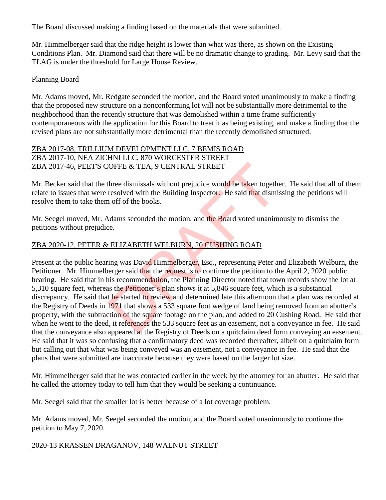The Board discussed making a finding based on the materials that were submitted.

Mr. Himmelberger said that the ridge height is lower than what was there, as shown on the Existing Conditions Plan. Mr. Diamond said that there will be no dramatic change to grading. Mr. Levy said that the TLAG is under the threshold for Large House Review.

## Planning Board

Mr. Adams moved, Mr. Redgate seconded the motion, and the Board voted unanimously to make a finding that the proposed new structure on a nonconforming lot will not be substantially more detrimental to the neighborhood than the recently structure that was demolished within a time frame sufficiently contemporaneous with the application for this Board to treat it as being existing, and make a finding that the revised plans are not substantially more detrimental than the recently demolished structured.

#### ZBA 2017-08, TRILLIUM DEVELOPMENT LLC, 7 BEMIS ROAD ZBA 2017-10, NEA ZICHNI LLC, 870 WORCESTER STREET ZBA 2017-46, PEET'S COFFE & TEA, 9 CENTRAL STREET

Mr. Becker said that the three dismissals without prejudice would be taken together. He said that all of them relate to issues that were resolved with the Building Inspector. He said that dismissing the petitions will resolve them to take them off of the books.

Mr. Seegel moved, Mr. Adams seconded the motion, and the Board voted unanimously to dismiss the petitions without prejudice.

## ZBA 2020-12, PETER & ELIZABETH WELBURN, 20 CUSHING ROAD

Present at the public hearing was David Himmelberger, Esq., representing Peter and Elizabeth Welburn, the Petitioner. Mr. Himmelberger said that the request is to continue the petition to the April 2, 2020 public hearing. He said that in his recommendation, the Planning Director noted that town records show the lot at 5,310 square feet, whereas the Petitioner's plan shows it at 5,846 square feet, which is a substantial discrepancy. He said that he started to review and determined late this afternoon that a plan was recorded at the Registry of Deeds in 1971 that shows a 533 square foot wedge of land being removed from an abutter's property, with the subtraction of the square footage on the plan, and added to 20 Cushing Road. He said that when he went to the deed, it references the 533 square feet as an easement, not a conveyance in fee. He said that the conveyance also appeared at the Registry of Deeds on a quitclaim deed form conveying an easement. He said that it was so confusing that a confirmatory deed was recorded thereafter, albeit on a quitclaim form but calling out that what was being conveyed was an easement, not a conveyance in fee. He said that the plans that were submitted are inaccurate because they were based on the larger lot size. COFFE & TEA, 9 CENTRAL STREET<br>three dismissals without prejudice would be taken togeth<br>resolved with the Building Inspector. He said that dismi<br>n off of the books.<br>dams seconded the motion, and the Board voted unanim<br>ce.<br>

Mr. Himmelberger said that he was contacted earlier in the week by the attorney for an abutter. He said that he called the attorney today to tell him that they would be seeking a continuance.

Mr. Seegel said that the smaller lot is better because of a lot coverage problem.

Mr. Adams moved, Mr. Seegel seconded the motion, and the Board voted unanimously to continue the petition to May 7, 2020.

## 2020-13 KRASSEN DRAGANOV, 148 WALNUT STREET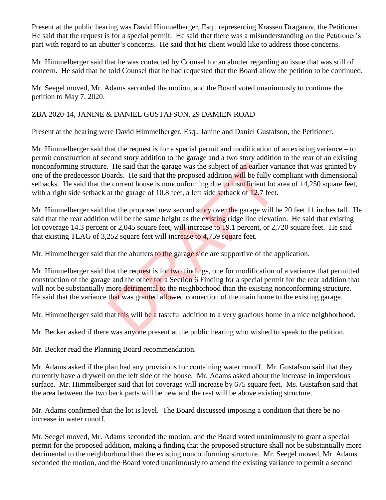Present at the public hearing was David Himmelberger, Esq., representing Krassen Draganov, the Petitioner. He said that the request is for a special permit. He said that there was a misunderstanding on the Petitioner's part with regard to an abutter's concerns. He said that his client would like to address those concerns.

Mr. Himmelberger said that he was contacted by Counsel for an abutter regarding an issue that was still of concern. He said that he told Counsel that he had requested that the Board allow the petition to be continued.

Mr. Seegel moved, Mr. Adams seconded the motion, and the Board voted unanimously to continue the petition to May 7, 2020.

#### ZBA 2020-14, JANINE & DANIEL GUSTAFSON, 29 DAMIEN ROAD

Present at the hearing were David Himmelberger, Esq., Janine and Daniel Gustafson, the Petitioner.

Mr. Himmelberger said that the request is for a special permit and modification of an existing variance – to permit construction of second story addition to the garage and a two story addition to the rear of an existing nonconforming structure. He said that the garage was the subject of an earlier variance that was granted by one of the predecessor Boards. He said that the proposed addition will be fully compliant with dimensional setbacks. He said that the current house is nonconforming due to insufficient lot area of 14,250 square feet, with a right side setback at the garage of 10.8 feet, a left side setback of 12.7 feet. Example 1. He said that the garage was the subject of an earlier variand condition will be fully condition. He said that the proposed addition will be fully coe current house is nonconforming due to insufficient lot at th

Mr. Himmelberger said that the proposed new second story over the garage will be 20 feet 11 inches tall. He said that the rear addition will be the same height as the existing ridge line elevation. He said that existing lot coverage 14.3 percent or 2,045 square feet, will increase to 19.1 percent, or 2,720 square feet. He said that existing TLAG of 3,252 square feet will increase to 4,759 square feet.

Mr. Himmelberger said that the abutters to the garage side are supportive of the application.

Mr. Himmelberger said that the request is for two findings, one for modification of a variance that permitted construction of the garage and the other for a Section 6 Finding for a special permit for the rear addition that will not be substantially more detrimental to the neighborhood than the existing nonconforming structure. He said that the variance that was granted allowed connection of the main home to the existing garage.

Mr. Himmelberger said that this will be a tasteful addition to a very gracious home in a nice neighborhood.

Mr. Becker asked if there was anyone present at the public hearing who wished to speak to the petition.

Mr. Becker read the Planning Board recommendation.

Mr. Adams asked if the plan had any provisions for containing water runoff. Mr. Gustafson said that they currently have a drywell on the left side of the house. Mr. Adams asked about the increase in impervious surface. Mr. Himmelberger said that lot coverage will increase by 675 square feet. Ms. Gustafson said that the area between the two back parts will be new and the rest will be above existing structure.

Mr. Adams confirmed that the lot is level. The Board discussed imposing a condition that there be no increase in water runoff.

Mr. Seegel moved, Mr. Adams seconded the motion, and the Board voted unanimously to grant a special permit for the proposed addition, making a finding that the proposed structure shall not be substantially more detrimental to the neighborhood than the existing nonconforming structure. Mr. Seegel moved, Mr. Adams seconded the motion, and the Board voted unanimously to amend the existing variance to permit a second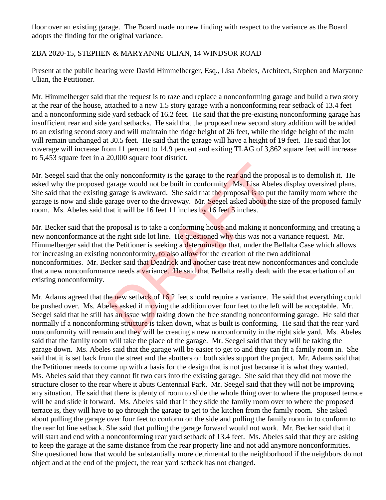floor over an existing garage. The Board made no new finding with respect to the variance as the Board adopts the finding for the original variance.

### ZBA 2020-15, STEPHEN & MARYANNE ULIAN, 14 WINDSOR ROAD

Present at the public hearing were David Himmelberger, Esq., Lisa Abeles, Architect, Stephen and Maryanne Ulian, the Petitioner.

Mr. Himmelberger said that the request is to raze and replace a nonconforming garage and build a two story at the rear of the house, attached to a new 1.5 story garage with a nonconforming rear setback of 13.4 feet and a nonconforming side yard setback of 16.2 feet. He said that the pre-existing nonconforming garage has insufficient rear and side yard setbacks. He said that the proposed new second story addition will be added to an existing second story and will maintain the ridge height of 26 feet, while the ridge height of the main will remain unchanged at 30.5 feet. He said that the garage will have a height of 19 feet. He said that lot coverage will increase from 11 percent to 14.9 percent and exiting TLAG of 3,862 square feet will increase to 5,453 square feet in a 20,000 square foot district.

Mr. Seegel said that the only nonconformity is the garage to the rear and the proposal is to demolish it. He asked why the proposed garage would not be built in conformity. Ms. Lisa Abeles display oversized plans. She said that the existing garage is awkward. She said that the proposal is to put the family room where the garage is now and slide garage over to the driveway. Mr. Seegel asked about the size of the proposed family room. Ms. Abeles said that it will be 16 feet 11 inches by 16 feet 5 inches.

Mr. Becker said that the proposal is to take a conforming house and making it nonconforming and creating a new nonconformance at the right side lot line. He questioned why this was not a variance request. Mr. Himmelberger said that the Petitioner is seeking a determination that, under the Bellalta Case which allows for increasing an existing nonconformity, to also allow for the creation of the two additional nonconformities. Mr. Becker said that Deadrick and another case treat new nonconformances and conclude that a new nonconformance needs a variance. He said that Bellalta really dealt with the exacerbation of an existing nonconformity. by nonconformity is the garage to the rear and the prop<br>garage would not be built in conformity. Ms. Lisa Abele<br>garage is awkward. She said that the proposal is to put t<br>arage over to the driveway. Mr. Seegel asked about t

Mr. Adams agreed that the new setback of 16.2 feet should require a variance. He said that everything could be pushed over. Ms. Abeles asked if moving the addition over four feet to the left will be acceptable. Mr. Seegel said that he still has an issue with taking down the free standing nonconforming garage. He said that normally if a nonconforming structure is taken down, what is built is conforming. He said that the rear yard nonconformity will remain and they will be creating a new nonconformity in the right side yard. Ms. Abeles said that the family room will take the place of the garage. Mr. Seegel said that they will be taking the garage down. Ms. Abeles said that the garage will be easier to get to and they can fit a family room in. She said that it is set back from the street and the abutters on both sides support the project. Mr. Adams said that the Petitioner needs to come up with a basis for the design that is not just because it is what they wanted. Ms. Abeles said that they cannot fit two cars into the existing garage. She said that they did not move the structure closer to the rear where it abuts Centennial Park. Mr. Seegel said that they will not be improving any situation. He said that there is plenty of room to slide the whole thing over to where the proposed terrace will be and slide it forward. Ms. Abeles said that if they slide the family room over to where the proposed terrace is, they will have to go through the garage to get to the kitchen from the family room. She asked about pulling the garage over four feet to conform on the side and pulling the family room in to conform to the rear lot line setback. She said that pulling the garage forward would not work. Mr. Becker said that it will start and end with a nonconforming rear yard setback of 13.4 feet. Ms. Abeles said that they are asking to keep the garage at the same distance from the rear property line and not add anymore nonconformities. She questioned how that would be substantially more detrimental to the neighborhood if the neighbors do not object and at the end of the project, the rear yard setback has not changed.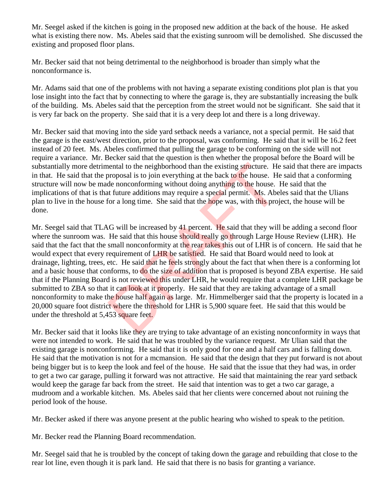Mr. Seegel asked if the kitchen is going in the proposed new addition at the back of the house. He asked what is existing there now. Ms. Abeles said that the existing sunroom will be demolished. She discussed the existing and proposed floor plans.

Mr. Becker said that not being detrimental to the neighborhood is broader than simply what the nonconformance is.

Mr. Adams said that one of the problems with not having a separate existing conditions plot plan is that you lose insight into the fact that by connecting to where the garage is, they are substantially increasing the bulk of the building. Ms. Abeles said that the perception from the street would not be significant. She said that it is very far back on the property. She said that it is a very deep lot and there is a long driveway.

Mr. Becker said that moving into the side yard setback needs a variance, not a special permit. He said that the garage is the east/west direction, prior to the proposal, was conforming. He said that it will be 16.2 feet instead of 20 feet. Ms. Abeles confirmed that pulling the garage to be conforming on the side will not require a variance. Mr. Becker said that the question is then whether the proposal before the Board will be substantially more detrimental to the neighborhood than the existing structure. He said that there are impacts in that. He said that the proposal is to join everything at the back to the house. He said that a conforming structure will now be made nonconforming without doing anything to the house. He said that the implications of that is that future additions may require a special permit. Ms. Abeles said that the Ulians plan to live in the house for a long time. She said that the hope was, with this project, the house will be done.

Mr. Seegel said that TLAG will be increased by 41 percent. He said that they will be adding a second floor where the sunroom was. He said that this house should really go through Large House Review (LHR). He said that the fact that the small nonconformity at the rear takes this out of LHR is of concern. He said that he would expect that every requirement of LHR be satisfied. He said that Board would need to look at drainage, lighting, trees, etc. He said that he feels strongly about the fact that when there is a conforming lot and a basic house that conforms, to **do** the size of addition that is proposed is beyond ZBA expertise. He said that if the Planning Board is not reviewed this under LHR, he would require that a complete LHR package be submitted to ZBA so that it can look at it properly. He said that they are taking advantage of a small nonconformity to make the house half again as large. Mr. Himmelberger said that the property is located in a 20,000 square foot district where the threshold for LHR is 5,900 square feet. He said that this would be under the threshold at 5,453 square feet. nental to the neighborhood than the existing structure. He proposal is to join everything at the back to the house. He proposal is to join everything at the back to the house. He monconforming without doing anything to the

Mr. Becker said that it looks like they are trying to take advantage of an existing nonconformity in ways that were not intended to work. He said that he was troubled by the variance request. Mr Ulian said that the existing garage is nonconforming. He said that it is only good for one and a half cars and is falling down. He said that the motivation is not for a mcmansion. He said that the design that they put forward is not about being bigger but is to keep the look and feel of the house. He said that the issue that they had was, in order to get a two car garage, pulling it forward was not attractive. He said that maintaining the rear yard setback would keep the garage far back from the street. He said that intention was to get a two car garage, a mudroom and a workable kitchen. Ms. Abeles said that her clients were concerned about not ruining the period look of the house.

Mr. Becker asked if there was anyone present at the public hearing who wished to speak to the petition.

Mr. Becker read the Planning Board recommendation.

Mr. Seegel said that he is troubled by the concept of taking down the garage and rebuilding that close to the rear lot line, even though it is park land. He said that there is no basis for granting a variance.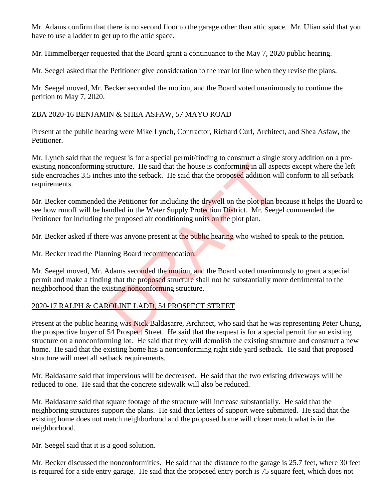Mr. Adams confirm that there is no second floor to the garage other than attic space. Mr. Ulian said that you have to use a ladder to get up to the attic space.

Mr. Himmelberger requested that the Board grant a continuance to the May 7, 2020 public hearing.

Mr. Seegel asked that the Petitioner give consideration to the rear lot line when they revise the plans.

Mr. Seegel moved, Mr. Becker seconded the motion, and the Board voted unanimously to continue the petition to May 7, 2020.

#### ZBA 2020-16 BENJAMIN & SHEA ASFAW, 57 MAYO ROAD

Present at the public hearing were Mike Lynch, Contractor, Richard Curl, Architect, and Shea Asfaw, the Petitioner.

Mr. Lynch said that the request is for a special permit/finding to construct a single story addition on a preexisting nonconforming structure. He said that the house is conforming in all aspects except where the left side encroaches 3.5 inches into the setback. He said that the proposed addition will conform to all setback requirements.

Mr. Becker commended the Petitioner for including the drywell on the plot plan because it helps the Board to see how runoff will be handled in the Water Supply Protection District. Mr. Seegel commended the Petitioner for including the proposed air conditioning units on the plot plan. structure. He said that the house is conforming in all aspet that the setback. He said that the proposed addition with<br>the Petitioner for including the drywell on the plot plan b<br>andled in the Water Supply Protection Distr

Mr. Becker asked if there was anyone present at the public hearing who wished to speak to the petition.

Mr. Becker read the Planning Board recommendation.

Mr. Seegel moved, Mr. Adams seconded the motion, and the Board voted unanimously to grant a special permit and make a finding that the proposed structure shall not be substantially more detrimental to the neighborhood than the existing nonconforming structure.

# 2020-17 RALPH & CAROLINE LADD, 54 PROSPECT STREET

Present at the public hearing was Nick Baldasarre, Architect, who said that he was representing Peter Chung, the prospective buyer of 54 Prospect Street. He said that the request is for a special permit for an existing structure on a nonconforming lot. He said that they will demolish the existing structure and construct a new home. He said that the existing home has a nonconforming right side yard setback. He said that proposed structure will meet all setback requirements.

Mr. Baldasarre said that impervious will be decreased. He said that the two existing driveways will be reduced to one. He said that the concrete sidewalk will also be reduced.

Mr. Baldasarre said that square footage of the structure will increase substantially. He said that the neighboring structures support the plans. He said that letters of support were submitted. He said that the existing home does not match neighborhood and the proposed home will closer match what is in the neighborhood.

Mr. Seegel said that it is a good solution.

Mr. Becker discussed the nonconformities. He said that the distance to the garage is 25.7 feet, where 30 feet is required for a side entry garage. He said that the proposed entry porch is 75 square feet, which does not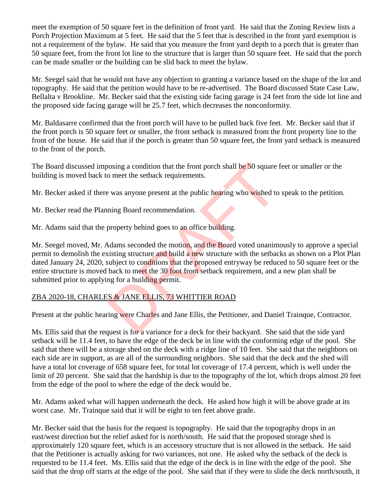meet the exemption of 50 square feet in the definition of front yard. He said that the Zoning Review lists a Porch Projection Maximum at 5 feet. He said that the 5 feet that is described in the front yard exemption is not a requirement of the bylaw. He said that you measure the front yard depth to a porch that is greater than 50 square feet, from the front lot line to the structure that is larger than 50 square feet. He said that the porch can be made smaller or the building can be slid back to meet the bylaw.

Mr. Seegel said that he would not have any objection to granting a variance based on the shape of the lot and topography. He said that the petition would have to be re-advertised. The Board discussed State Case Law, Bellalta v Brookline. Mr. Becker said that the existing side facing garage is 24 feet from the side lot line and the proposed side facing garage will be 25.7 feet, which decreases the nonconformity.

Mr. Baldasarre confirmed that the front porch will have to be pulled back five feet. Mr. Becker said that if the front porch is 50 square feet or smaller, the front setback is measured from the front property line to the front of the house. He said that if the porch is greater than 50 square feet, the front yard setback is measured to the front of the porch.

The Board discussed imposing a condition that the front porch shall be 50 square feet or smaller or the building is moved back to meet the setback requirements.

Mr. Becker asked if there was anyone present at the public hearing who wished to speak to the petition.

Mr. Becker read the Planning Board recommendation.

Mr. Adams said that the property behind goes to an office building.

Mr. Seegel moved, Mr. Adams seconded the motion, and the Board voted unanimously to approve a special permit to demolish the existing structure and build a new structure with the setbacks as shown on a Plot Plan dated January 24, 2020, subject to conditions that the proposed entryway be reduced to 50 square feet or the entire structure is moved back to meet the 30 foot front setback requirement, and a new plan shall be submitted prior to applying for a building permit. be 50 square<br>o meet the setback requirements.<br>
Evange of meet the setback requirements.<br>
Evange and the public hearing who wished to<br>
ining Board recommendation.<br>
property behind goes to an office building.<br>
Adams seconded

# ZBA 2020-18, CHARLES & JANE ELLIS, 73 WHITTIER ROAD

Present at the public hearing were Charles and Jane Ellis, the Petitioner, and Daniel Trainque, Contractor.

Ms. Ellis said that the request is for a variance for a deck for their backyard. She said that the side yard setback will be 11.4 feet, to have the edge of the deck be in line with the conforming edge of the pool. She said that there will be a storage shed on the deck with a ridge line of 10 feet. She said that the neighbors on each side are in support, as are all of the surrounding neighbors. She said that the deck and the shed will have a total lot coverage of 658 square feet, for total lot coverage of 17.4 percent, which is well under the limit of 20 percent. She said that the hardship is due to the topography of the lot, which drops almost 20 feet from the edge of the pool to where the edge of the deck would be.

Mr. Adams asked what will happen underneath the deck. He asked how high it will be above grade at its worst case. Mr. Trainque said that it will be eight to ten feet above grade.

Mr. Becker said that the basis for the request is topography. He said that the topography drops in an east/west direction but the relief asked for is north/south. He said that the proposed storage shed is approximately 120 square feet, which is an accessory structure that is not allowed in the setback. He said that the Petitioner is actually asking for two variances, not one. He asked why the setback of the deck is requested to be 11.4 feet. Ms. Ellis said that the edge of the deck is in line with the edge of the pool. She said that the drop off starts at the edge of the pool. She said that if they were to slide the deck north/south, it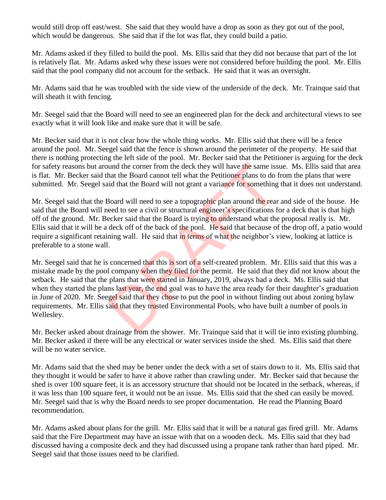would still drop off east/west. She said that they would have a drop as soon as they got out of the pool, which would be dangerous. She said that if the lot was flat, they could build a patio.

Mr. Adams asked if they filled to build the pool. Ms. Ellis said that they did not because that part of the lot is relatively flat. Mr. Adams asked why these issues were not considered before building the pool. Mr. Ellis said that the pool company did not account for the setback. He said that it was an oversight.

Mr. Adams said that he was troubled with the side view of the underside of the deck. Mr. Trainque said that will sheath it with fencing.

Mr. Seegel said that the Board will need to see an engineered plan for the deck and architectural views to see exactly what it will look like and make sure that it will be safe.

Mr. Becker said that it is not clear how the whole thing works. Mr. Ellis said that there will be a fence around the pool. Mr. Seegel said that the fence is shown around the perimeter of the property. He said that there is nothing protecting the left side of the pool. Mr. Becker said that the Petitioner is arguing for the deck for safety reasons but around the corner from the deck they will have the same issue. Ms. Ellis said that area is flat. Mr. Becker said that the Board cannot tell what the Petitioner plans to do from the plans that were submitted. Mr. Seegel said that the Board will not grant a variance for something that it does not understand.

Mr. Seegel said that the Board will need to see a topographic plan around the rear and side of the house. He said that the Board will need to see a civil or structural engineer's specifications for a deck that is that high off of the ground. Mr. Becker said that the Board is trying to understand what the proposal really is. Mr. Ellis said that it will be a deck off of the back of the pool. He said that because of the drop off, a patio would require a significant retaining wall. He said that in terms of what the neighbor's view, looking at lattice is preferable to a stone wall.

Mr. Seegel said that he is concerned that this is sort of a self-created problem. Mr. Ellis said that this was a mistake made by the pool company when they filed for the permit. He said that they did not know about the setback. He said that the plans that were started in January, 2019, always had a deck. Ms. Ellis said that when they started the plans last year, the end goal was to have the area ready for their daughter's graduation in June of 2020. Mr. Seegel said that they chose to put the pool in without finding out about zoning bylaw requirements. Mr. Ellis said that they trusted Environmental Pools, who have built a number of pools in Wellesley. und the corner from the deck they will have the same iss<br>hat the Board cannot tell what the Petitioner plans to do f<br>id that the Board will not grant a variance for something<br>Board will need to see a topographic plan aroun

Mr. Becker asked about drainage from the shower. Mr. Trainque said that it will tie into existing plumbing. Mr. Becker asked if there will be any electrical or water services inside the shed. Ms. Ellis said that there will be no water service.

Mr. Adams said that the shed may be better under the deck with a set of stairs down to it. Ms. Ellis said that they thought it would be safer to have it above rather than crawling under. Mr. Becker said that because the shed is over 100 square feet, it is an accessory structure that should not be located in the setback, whereas, if it was less than 100 square feet, it would not be an issue. Ms. Ellis said that the shed can easily be moved. Mr. Seegel said that is why the Board needs to see proper documentation. He read the Planning Board recommendation.

Mr. Adams asked about plans for the grill. Mr. Ellis said that it will be a natural gas fired grill. Mr. Adams said that the Fire Department may have an issue with that on a wooden deck. Ms. Ellis said that they had discussed having a composite deck and they had discussed using a propane tank rather than hard piped. Mr. Seegel said that those issues need to be clarified.